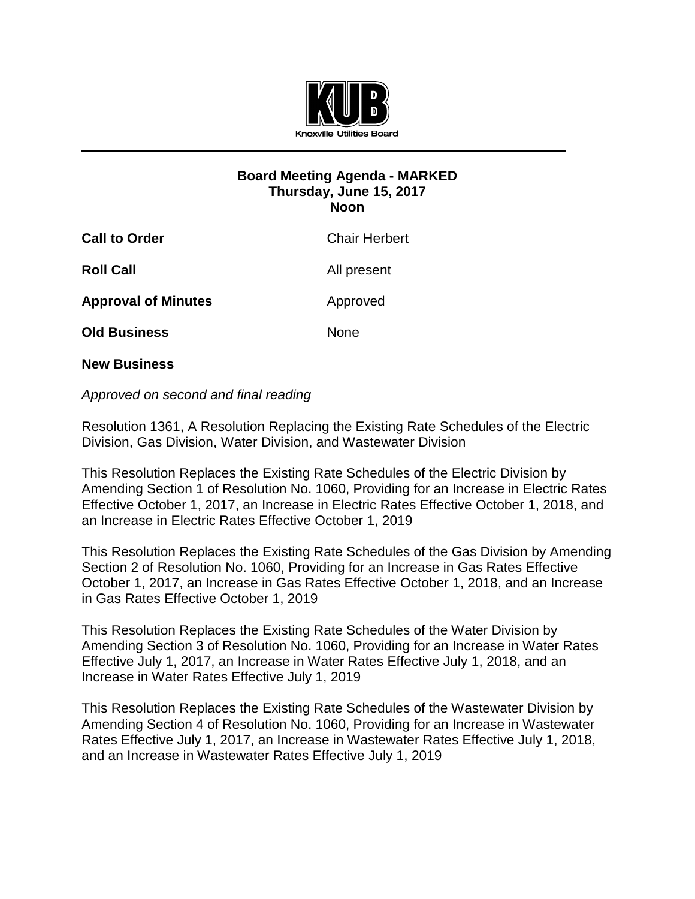

## **Board Meeting Agenda - MARKED Thursday, June 15, 2017 Noon**

| <b>Call to Order</b>       | <b>Chair Herbert</b> |
|----------------------------|----------------------|
| <b>Roll Call</b>           | All present          |
| <b>Approval of Minutes</b> | Approved             |
| <b>Old Business</b>        | <b>None</b>          |
|                            |                      |

## **New Business**

## *Approved on second and final reading*

Resolution 1361, A Resolution Replacing the Existing Rate Schedules of the Electric Division, Gas Division, Water Division, and Wastewater Division

This Resolution Replaces the Existing Rate Schedules of the Electric Division by Amending Section 1 of Resolution No. 1060, Providing for an Increase in Electric Rates Effective October 1, 2017, an Increase in Electric Rates Effective October 1, 2018, and an Increase in Electric Rates Effective October 1, 2019

This Resolution Replaces the Existing Rate Schedules of the Gas Division by Amending Section 2 of Resolution No. 1060, Providing for an Increase in Gas Rates Effective October 1, 2017, an Increase in Gas Rates Effective October 1, 2018, and an Increase in Gas Rates Effective October 1, 2019

This Resolution Replaces the Existing Rate Schedules of the Water Division by Amending Section 3 of Resolution No. 1060, Providing for an Increase in Water Rates Effective July 1, 2017, an Increase in Water Rates Effective July 1, 2018, and an Increase in Water Rates Effective July 1, 2019

This Resolution Replaces the Existing Rate Schedules of the Wastewater Division by Amending Section 4 of Resolution No. 1060, Providing for an Increase in Wastewater Rates Effective July 1, 2017, an Increase in Wastewater Rates Effective July 1, 2018, and an Increase in Wastewater Rates Effective July 1, 2019